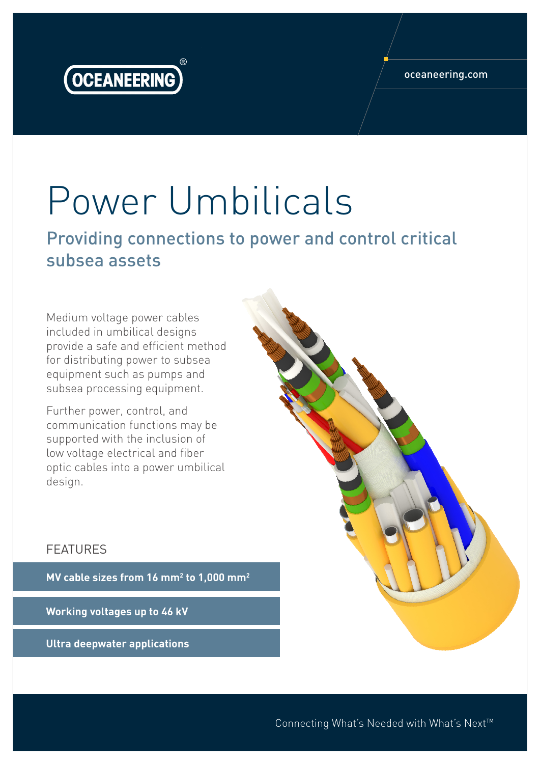

#### oceaneering.com

# Power Umbilicals

Providing connections to power and control critical subsea assets

Medium voltage power cables included in umbilical designs provide a safe and efficient method for distributing power to subsea equipment such as pumps and subsea processing equipment.

Further power, control, and communication functions may be supported with the inclusion of low voltage electrical and fiber optic cables into a power umbilical design.

### FEATURES

**MV cable sizes from 16 mm2 to 1,000 mm2**

**Working voltages up to 46 kV**

**Ultra deepwater applications**

Connecting What's Needed with What's Next™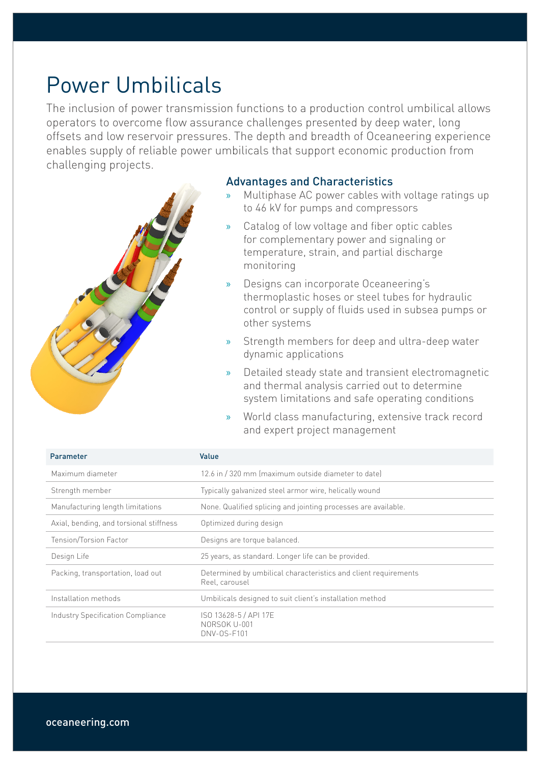### Power Umbilicals

The inclusion of power transmission functions to a production control umbilical allows operators to overcome flow assurance challenges presented by deep water, long offsets and low reservoir pressures. The depth and breadth of Oceaneering experience enables supply of reliable power umbilicals that support economic production from challenging projects.



- » Multiphase AC power cables with voltage ratings up to 46 kV for pumps and compressors
- Catalog of low voltage and fiber optic cables for complementary power and signaling or temperature, strain, and partial discharge monitoring
- » Designs can incorporate Oceaneering's thermoplastic hoses or steel tubes for hydraulic control or supply of fluids used in subsea pumps or other systems
- » Strength members for deep and ultra-deep water dynamic applications
- » Detailed steady state and transient electromagnetic and thermal analysis carried out to determine system limitations and safe operating conditions
- » World class manufacturing, extensive track record and expert project management

| Parameter                                | Value                                                                             |
|------------------------------------------|-----------------------------------------------------------------------------------|
| Maximum diameter                         | 12.6 in / 320 mm (maximum outside diameter to date)                               |
| Strength member                          | Typically galvanized steel armor wire, helically wound                            |
| Manufacturing length limitations         | None. Qualified splicing and jointing processes are available.                    |
| Axial, bending, and torsional stiffness  | Optimized during design                                                           |
| Tension/Torsion Factor                   | Designs are torque balanced.                                                      |
| Design Life                              | 25 years, as standard. Longer life can be provided.                               |
| Packing, transportation, load out        | Determined by umbilical characteristics and client requirements<br>Reel, carousel |
| Installation methods                     | Umbilicals designed to suit client's installation method                          |
| <b>Industry Specification Compliance</b> | ISO 13628-5 / API 17E<br>NORSOK U-001<br><b>DNV-0S-F101</b>                       |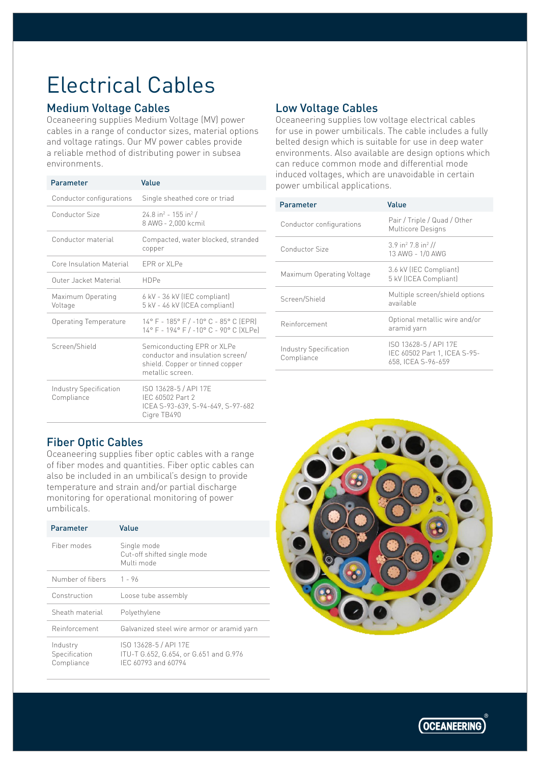## Electrical Cables

#### Medium Voltage Cables

Oceaneering supplies Medium Voltage (MV) power cables in a range of conductor sizes, material options and voltage ratings. Our MV power cables provide a reliable method of distributing power in subsea environments.

| Parameter                            | Value                                                                                                                |
|--------------------------------------|----------------------------------------------------------------------------------------------------------------------|
| Conductor configurations             | Single sheathed core or triad                                                                                        |
| Conductor Size                       | $24.8$ in <sup>2</sup> - 155 in <sup>2</sup> /<br>8 AWG - 2,000 kcmil                                                |
| Conductor material                   | Compacted, water blocked, stranded<br>copper                                                                         |
| Core Insulation Material             | <b>EPR or XLPe</b>                                                                                                   |
| Outer Jacket Material                | <b>HDPe</b>                                                                                                          |
| Maximum Operating<br>Voltage         | 6 kV - 36 kV (IEC compliant)<br>5 kV - 46 kV (ICEA compliant)                                                        |
| Operating Temperature                | 14° F - 185° F / -10° C - 85° C (EPR)<br>14° F - 194° F / -10° C - 90° C (XLPe)                                      |
| Screen/Shield                        | Semiconducting EPR or XLPe<br>conductor and insulation screen/<br>shield. Copper or tinned copper<br>metallic screen |
| Industry Specification<br>Compliance | ISO 13628-5 / API 17E<br>IEC 60502 Part 2<br>ICEA S-93-639, S-94-649, S-97-682<br>Cigre TB490                        |

### Low Voltage Cables

Oceaneering supplies low voltage electrical cables for use in power umbilicals. The cable includes a fully belted design which is suitable for use in deep water environments. Also available are design options which can reduce common mode and differential mode induced voltages, which are unavoidable in certain power umbilical applications.

| Parameter                            | Value                                                                       |
|--------------------------------------|-----------------------------------------------------------------------------|
| Conductor configurations             | Pair / Triple / Quad / Other<br>Multicore Designs                           |
| Conductor Size                       | $3.9$ in <sup>2</sup> 7.8 in <sup>2</sup> //<br>13 AWG - 1/0 AWG            |
| Maximum Operating Voltage            | 3.6 kV (IEC Compliant)<br>5 kV (ICEA Compliant)                             |
| Screen/Shield                        | Multiple screen/shield options<br>available                                 |
| Reinforcement                        | Optional metallic wire and/or<br>aramid yarn                                |
| Industry Specification<br>Compliance | ISO 13628-5 / API 17E<br>IEC 60502 Part 1, ICEA S-95-<br>658. ICEA S-96-659 |

### Fiber Optic Cables

Oceaneering supplies fiber optic cables with a range of fiber modes and quantities. Fiber optic cables can also be included in an umbilical's design to provide temperature and strain and/or partial discharge monitoring for operational monitoring of power umbilicals.

| Parameter                               | Value                                                                                  |
|-----------------------------------------|----------------------------------------------------------------------------------------|
| Fiber modes                             | Single mode<br>Cut-off shifted single mode<br>Multi mode                               |
| Number of fibers                        | $1 - 96$                                                                               |
| Construction                            | Loose tube assembly                                                                    |
| Sheath material                         | Polyethylene                                                                           |
| Reinforcement                           | Galvanized steel wire armor or aramid yarn                                             |
| Industry<br>Specification<br>Compliance | ISO 13628-5 / API 17E<br>ITU-T G.652, G.654, or G.651 and G.976<br>IEC 60793 and 60794 |